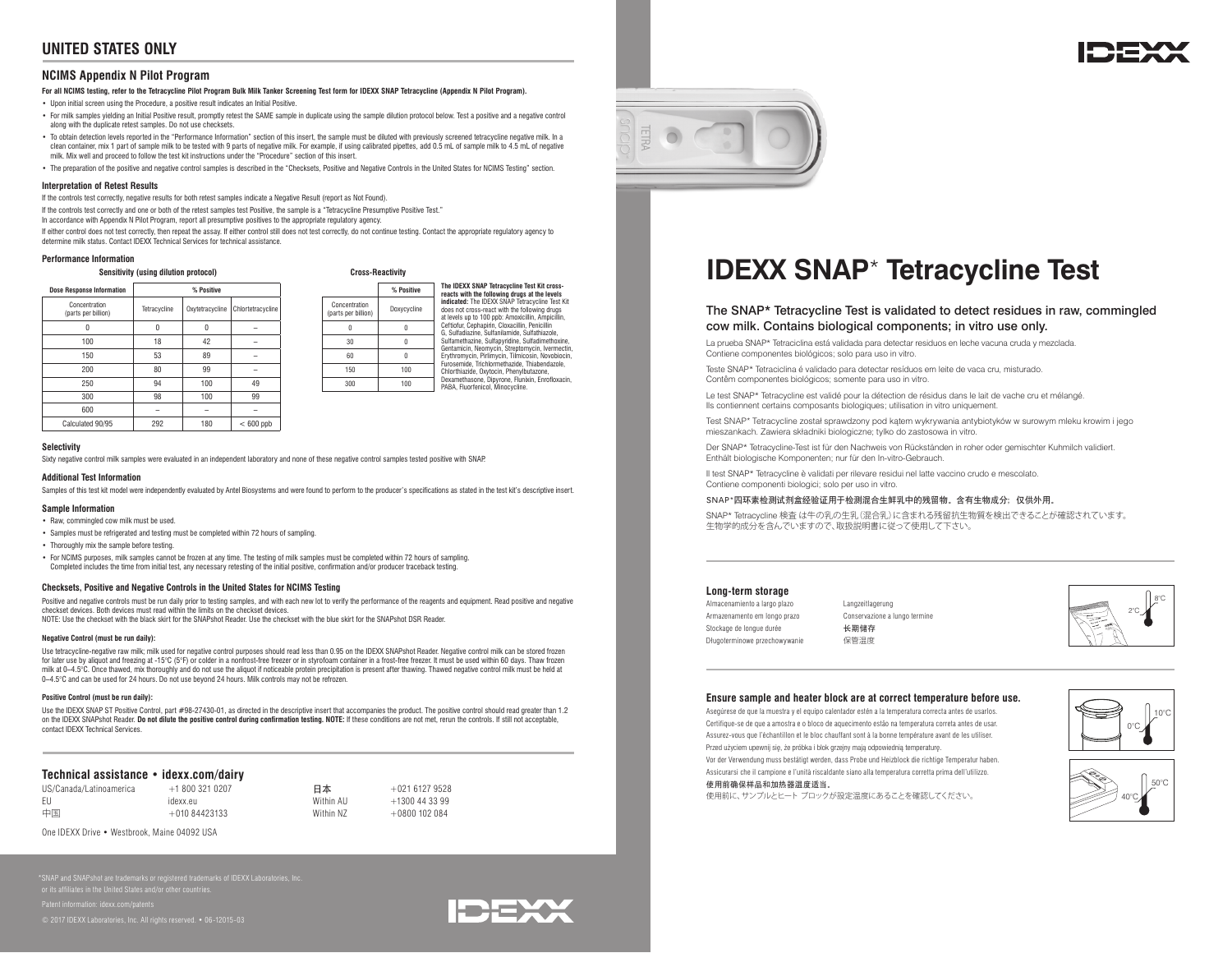# **UNITED STATES ONLY**

# **NCIMS Appendix N Pilot Program**

## **For all NCIMS testing, refer to the Tetracycline Pilot Program Bulk Milk Tanker Screening Test form for IDEXX SNAP Tetracycline (Appendix N Pilot Program).**

• Upon initial screen using the Procedure, a positive result indicates an Initial Positive.

- For milk samples yielding an Initial Positive result, promptly retest the SAME sample in duplicate using the sample dilution protocol below. Test a positive and a negative control along with the duplicate retest samples. Do not use checksets.
- To obtain detection levels reported in the "Performance Information" section of this insert, the sample must be diluted with previously screened tetracycline negative milk. In a clean container, mix 1 part of sample milk to be tested with 9 parts of negative milk. For example, if using calibrated pipettes, add 0.5 mL of sample milk to 4.5 mL of negative milk. Mix well and proceed to follow the test kit instructions under the "Procedure" section of this insert.
- The preparation of the positive and negative control samples is described in the "Checksets, Positive and Negative Controls in the United States for NCIMS Testing" section.

#### **Interpretation of Retest Results**

If the controls test correctly, negative results for both retest samples indicate a Negative Result (report as Not Found).

If the controls test correctly and one or both of the retest samples test Positive, the sample is a "Tetracycline Presumptive Positive Test."

In accordance with Appendix N Pilot Program, report all presumptive positives to the appropriate regulatory agency.

If either control does not test correctly, then repeat the assay. If either control still does not test correctly, do not continue testing. Contact the appropriate regulatory agency to determine milk status. Contact IDEXX Technical Services for technical assistance.

#### **Performance Information**

**Sensitivity (using dilution protocol) Cross-Reactivity**

| <b>Dose Response Information</b>     |              | % Positive      |                   |                                      | % Positive  |
|--------------------------------------|--------------|-----------------|-------------------|--------------------------------------|-------------|
| Concentration<br>(parts per billion) | Tetracycline | Oxytetracycline | Chlortetracycline | Concentration<br>(parts per billion) | Doxycycline |
|                                      | 0            | $\theta$        |                   |                                      |             |
| 100                                  | 18           | 42              |                   | 30                                   |             |
| 150                                  | 53           | 89              |                   | 60                                   |             |
| 200                                  | 80           | 99              |                   | 150                                  |             |
| 250                                  | 94           | 100             | 49                | 300                                  |             |
| 300                                  | 98           | 100             | 99                |                                      |             |
| 600                                  |              |                 |                   |                                      |             |
| Calculated 90/95                     | 292          | 180             | $< 600$ ppb       |                                      |             |

**The IDEXX SNAP Tetracycline Test Kit crossreacts with the following drugs at the levels indicated:** The IDEXX SNAP Tetracycline Test Kit does not cross-react with the following drugs at levels up to 100 ppb: Amoxicillin, Ampi Ceftiofur, Cephapirin, Cloxacillin, Penicillin G, Sulfadiazine, Sulfanilamide, Sulfathiazole, Sulfamethazine, Sulfapyridine, Sulfadimethoxine, Gentamicin, Neomycin, Streptomycin, Ivermectin, Erythromycin, Pirlimycin, Tilmicosin, Novobiocin, Furosemide, Trichlormethazide, Thiabendazole, Chlorthiazide, Oxytocin, Phenylbutazone, Dexamethasone, Dipyrone, Flunixin, Enrofloxacin, PABA, Fluorfenicol, Minocycline. (parts per billion) Doxycycline

#### **Selectivity**

Sixty negative control milk samples were evaluated in an independent laboratory and none of these negative control samples tested positive with SNAP.

#### **Additional Test Information**

Samples of this test kit model were independently evaluated by Antel Biosystems and were found to perform to the producer's specifications as stated in the test kit's descriptive insert.

#### **Sample Information**

- Raw, commingled cow milk must be used.
- Samples must be refrigerated and testing must be completed within 72 hours of sampling.
- Thoroughly mix the sample before testing.
- For NCIMS purposes, milk samples cannot be frozen at any time. The testing of milk samples must be completed within 72 hours of sampling. Completed includes the time from initial test, any necessary retesting of the initial positive, confirmation and/or producer traceback testing.

### **Checksets, Positive and Negative Controls in the United States for NCIMS Testing**

Positive and negative controls must be run daily prior to testing samples, and with each new lot to verify the performance of the reagents and equipment. Read positive and negative checkset devices. Both devices must read within the limits on the checkset devices. NOTE: Use the checkset with the black skirt for the SNAPshot Reader. Use the checkset with the blue skirt for the SNAPshot DSR Reader.

#### **Negative Control (must be run daily):**

Use tetracycline-negative raw milk; milk used for negative control purposes should read less than 0.95 on the IDEXX SNAPshot Reader. Negative control milk can be stored frozen for later use by aliquot and freezing at -15°C (5°F) or colder in a nonfrost-free freezer or in styrofoam container in a frost-free freezer. It must be used within 60 days. Thaw frozen milk at 0–4.5°C. Once thawed, mix thoroughly and do not use the aliquot if noticeable protein precipitation is present after thawing. Thawed negative control milk must be held at 0–4.5°C and can be used for 24 hours. Do not use beyond 24 hours. Milk controls may not be refrozen.

#### **Positive Control (must be run daily):**

Use the IDEXX SNAP ST Positive Control, part #98-27430-01, as directed in the descriptive insert that accompanies the product. The positive control should read greater than 1.2 on the IDEXX SNAPshot Reader. **Do not dilute the positive control during confirmation testing. NOTE:** If these conditions are not met, rerun the controls. If still not acceptable, contact IDEXX Technical Services.

# **Technical assistance • idexx.com/dairy**

| US/Canada/Latinoamerica | $+18003210207$ | 日本        | $+02161279528$  |
|-------------------------|----------------|-----------|-----------------|
| - FU                    | idexx.eu       | Within AU | +1300 44 33 99  |
| 中国                      | $+01084423133$ | Within N7 | $+0800$ 102 084 |

One IDEXX Drive • Westbrook, Maine 04092 USA

Patent information: idexx.com/pater



6127 9528



# **IDEXX SNAP**\* **Tetracycline Test**

# The SNAP\* Tetracycline Test is validated to detect residues in raw, commingled cow milk. Contains biological components; in vitro use only.

La prueba SNAP\* Tetraciclina está validada para detectar residuos en leche vacuna cruda y mezclada. Contiene componentes biológicos; solo para uso in vitro.

Teste SNAP\* Tetraciclina é validado para detectar resíduos em leite de vaca cru, misturado. Contêm componentes biológicos; somente para uso in vitro.

Le test SNAP\* Tetracycline est validé pour la détection de résidus dans le lait de vache cru et mélangé. Ils contiennent certains composants biologiques; utilisation in vitro uniquement.

Test SNAP\* Tetracycline został sprawdzony pod kątem wykrywania antybiotyków w surowym mleku krowim i jego mieszankach. Zawiera składniki biologiczne; tylko do zastosowa in vitro.

Der SNAP\* Tetracycline-Test ist für den Nachweis von Rückständen in roher oder gemischter Kuhmilch validiert. Enthält biologische Komponenten; nur für den In-vitro-Gebrauch.

Il test SNAP\* Tetracycline è validati per rilevare residui nel latte vaccino crudo e mescolato. Contiene componenti biologici; solo per uso in vitro.

#### SNAP\*四环素检测试剂盒经验证用于检测混合生鲜乳中的残留物。含有生物成分;仅供外用。

SNAP\* Tetracycline 検査 は牛の乳の生乳(混合乳)に含まれる残留抗生物質を検出できることが確認されています。 生物学的成分を含んでいますので、取扱説明書に従って使用して下さい。

## **Long-term storage**

- Almacenamiento a largo plazo Armazenamento em longo prazo Stockage de longue durée Długoterminowe przechowywanie
- Langzeitlagerung Conservazione a lungo termine 长期储存 保管温度



#### **Ensure sample and heater block are at correct temperature before use.**

Asegúrese de que la muestra y el equipo calentador estén a la temperatura correcta antes de usarlos. Certifique-se de que a amostra e o bloco de aquecimento estão na temperatura correta antes de usar. Assurez-vous que l'échantillon et le bloc chauffant sont à la bonne température avant de les utiliser. Przed użyciem upewnij się, że próbka i blok grzejny mają odpowiednią temperaturę. Vor der Verwendung muss bestätigt werden, dass Probe und Heizblock die richtige Temperatur haben. Assicurarsi che il campione e l'unità riscaldante siano alla temperatura corretta prima dell'utilizzo.

# 使用前确保样品和加热器温度适当。

使用前に、サンプルとヒート ブロックが設定温度にあることを確認してください。



 $10$